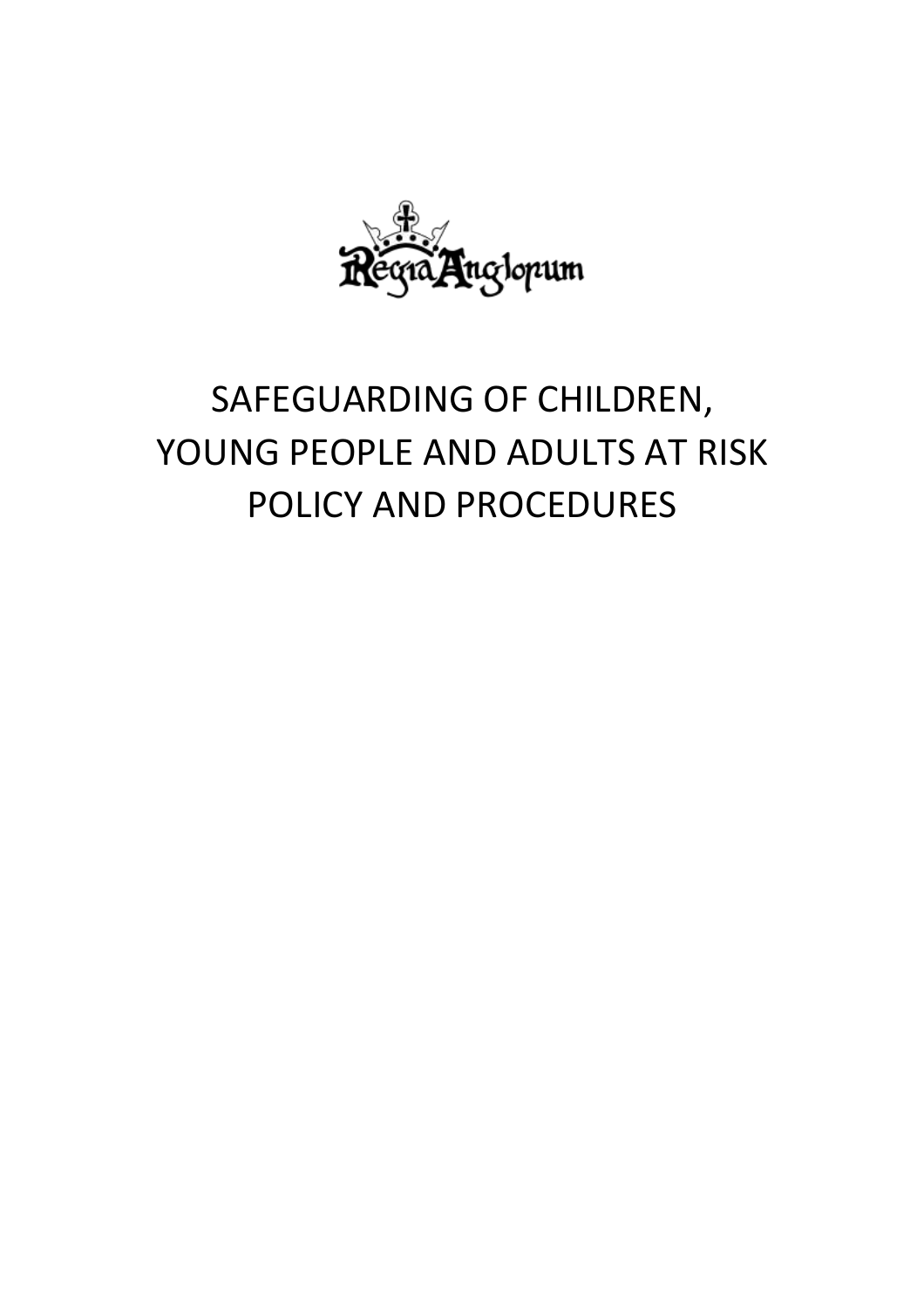

# SAFEGUARDING OF CHILDREN, YOUNG PEOPLE AND ADULTS AT RISK POLICY AND PROCEDURES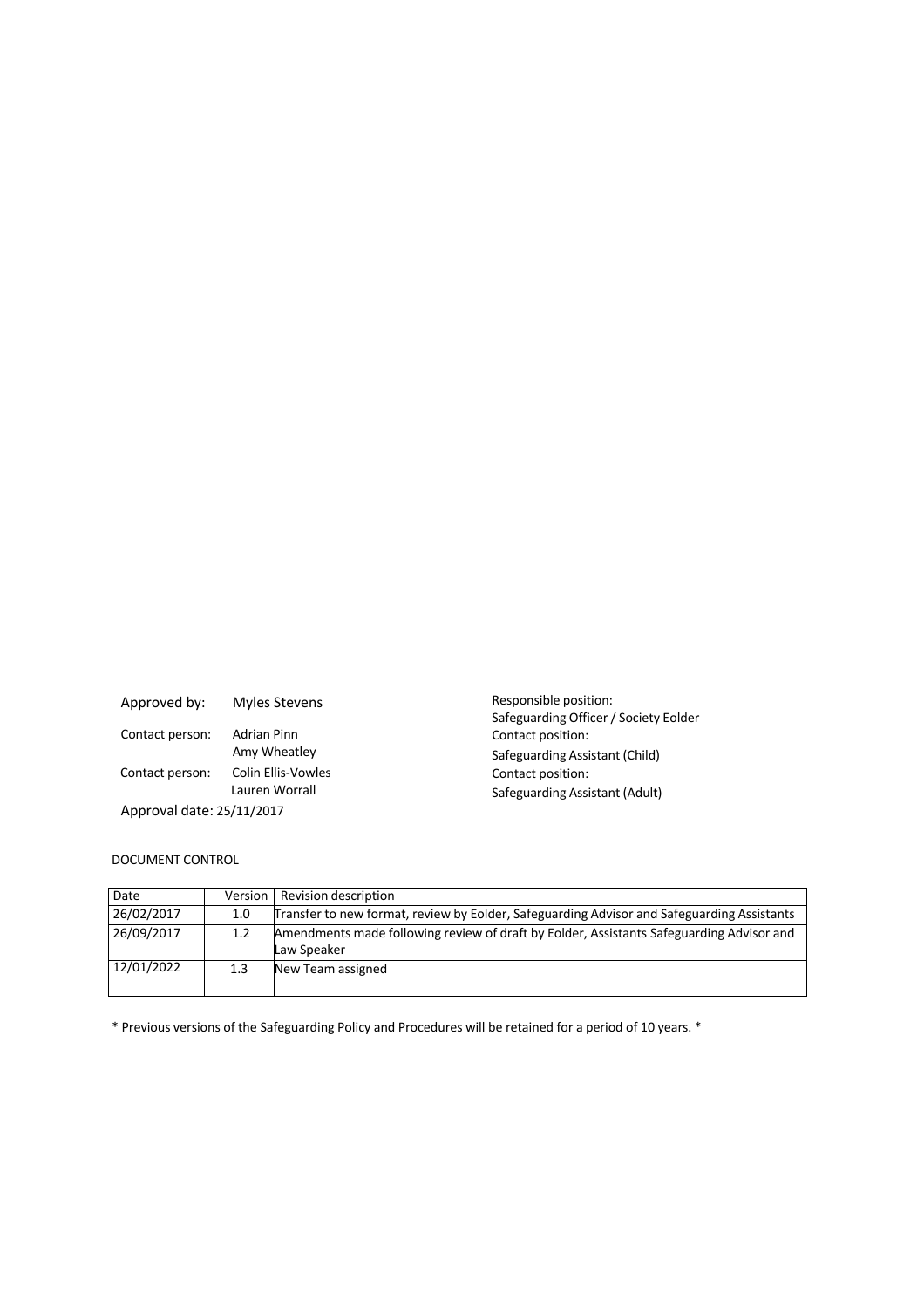| Approved by:              | Myles Stevens                        |
|---------------------------|--------------------------------------|
| Contact person:           | <b>Adrian Pinn</b><br>Amy Wheatley   |
| Contact person:           | Colin Ellis-Vowles<br>Lauren Worrall |
| Approval date: 25/11/2017 |                                      |

Responsible position: Safeguarding Officer / Society Eolder Contact position: Safeguarding Assistant (Child) Contact position: Safeguarding Assistant (Adult)

## DOCUMENT CONTROL

| Date       | Version          | Revision description                                                                                    |
|------------|------------------|---------------------------------------------------------------------------------------------------------|
| 26/02/2017 | 1.0              | Transfer to new format, review by Eolder, Safeguarding Advisor and Safeguarding Assistants              |
| 26/09/2017 | 1.2 <sub>2</sub> | Amendments made following review of draft by Eolder, Assistants Safeguarding Advisor and<br>Law Speaker |
| 12/01/2022 | 1.3 <sub>2</sub> | New Team assigned                                                                                       |
|            |                  |                                                                                                         |

\* Previous versions of the Safeguarding Policy and Procedures will be retained for a period of 10 years. \*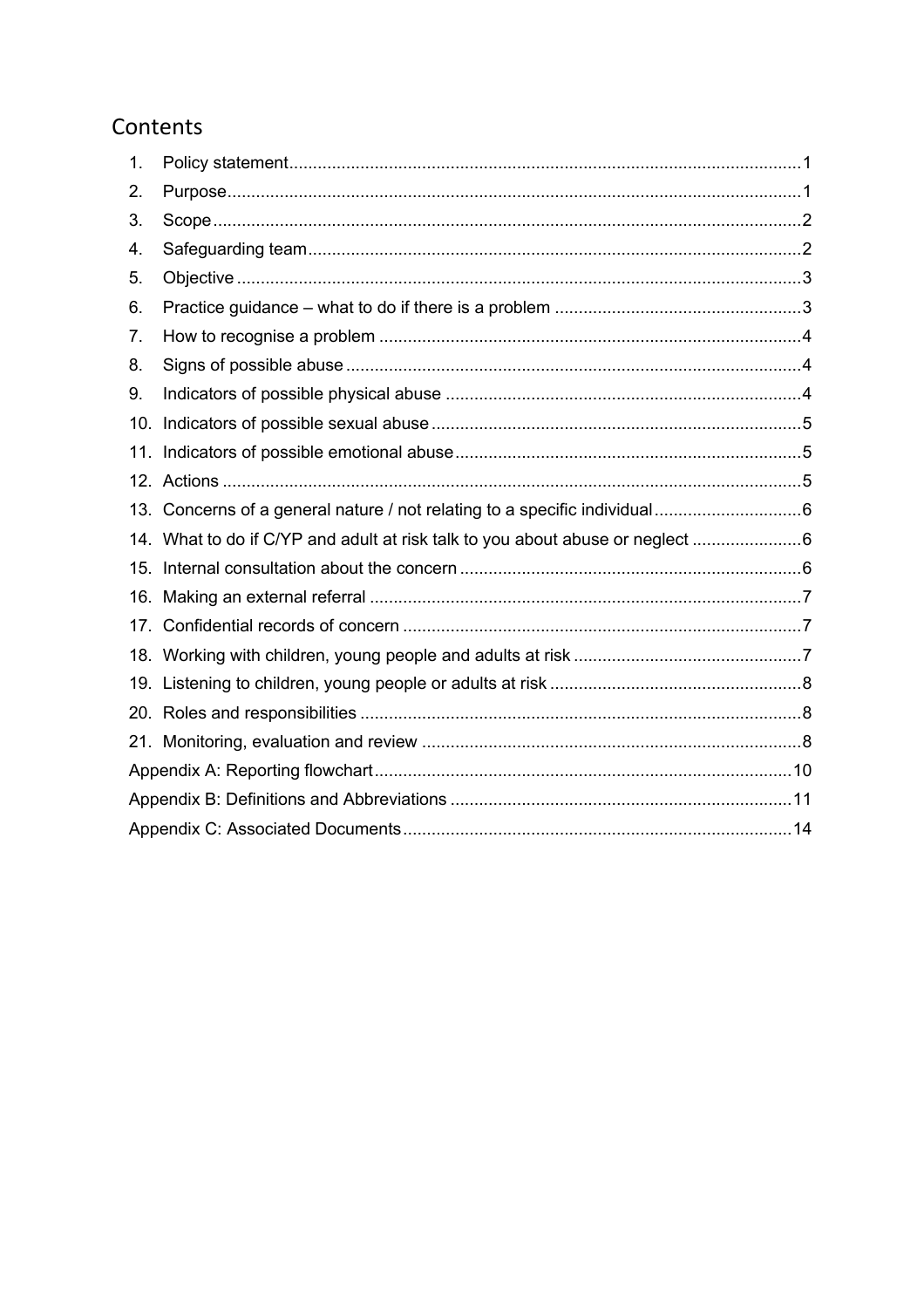# Contents

| 1.  |                                                                             |  |  |
|-----|-----------------------------------------------------------------------------|--|--|
| 2.  |                                                                             |  |  |
| 3.  |                                                                             |  |  |
| 4.  |                                                                             |  |  |
| 5.  |                                                                             |  |  |
| 6.  |                                                                             |  |  |
| 7.  |                                                                             |  |  |
| 8.  |                                                                             |  |  |
| 9.  |                                                                             |  |  |
| 10. |                                                                             |  |  |
| 11. |                                                                             |  |  |
|     |                                                                             |  |  |
|     |                                                                             |  |  |
|     | 14. What to do if C/YP and adult at risk talk to you about abuse or neglect |  |  |
|     |                                                                             |  |  |
|     |                                                                             |  |  |
|     |                                                                             |  |  |
|     |                                                                             |  |  |
|     |                                                                             |  |  |
|     |                                                                             |  |  |
|     |                                                                             |  |  |
|     |                                                                             |  |  |
|     |                                                                             |  |  |
|     |                                                                             |  |  |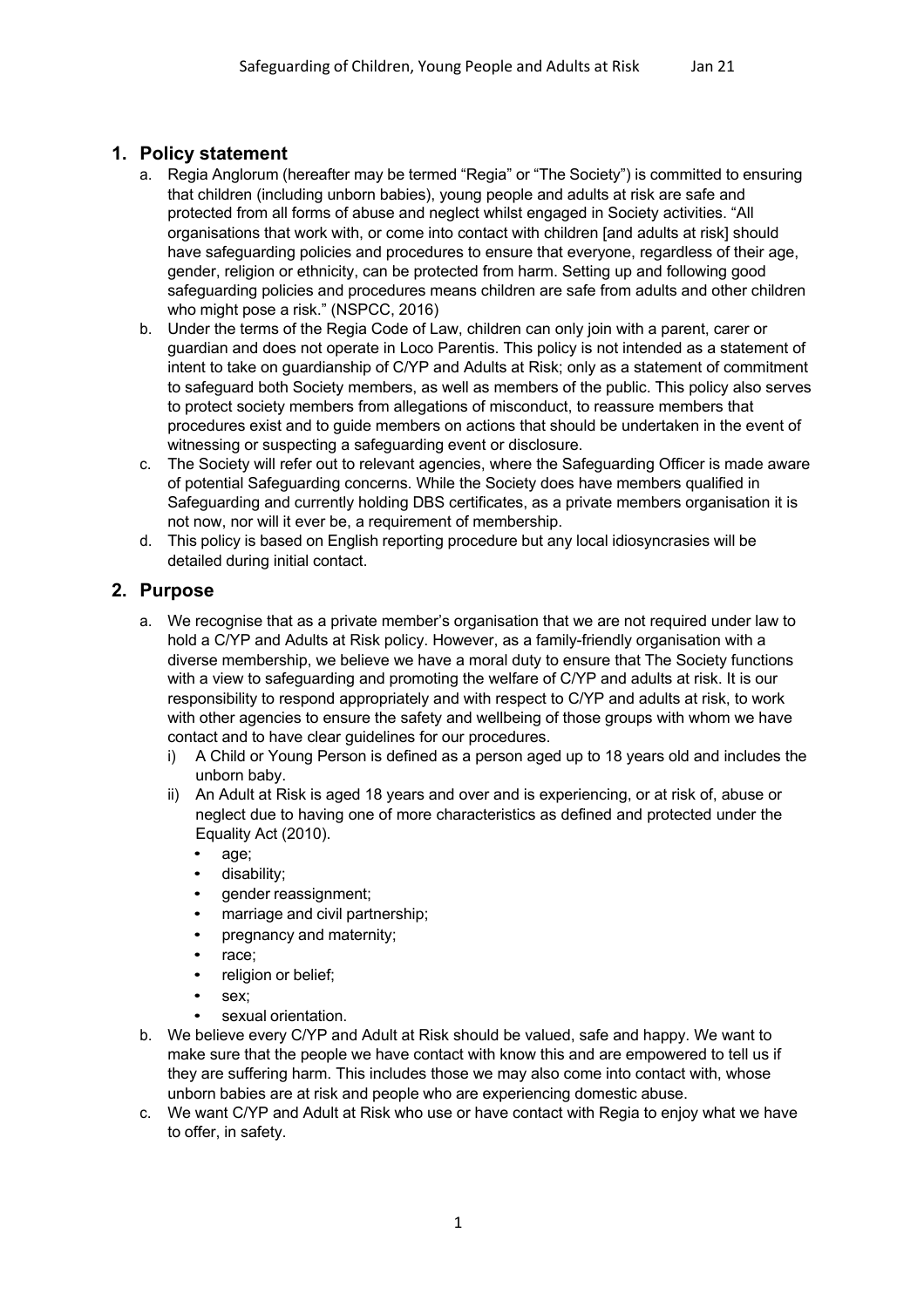# **1. Policy statement**

- a. Regia Anglorum (hereafter may be termed "Regia" or "The Society") is committed to ensuring that children (including unborn babies), young people and adults at risk are safe and protected from all forms of abuse and neglect whilst engaged in Society activities. "All organisations that work with, or come into contact with children [and adults at risk] should have safeguarding policies and procedures to ensure that everyone, regardless of their age, gender, religion or ethnicity, can be protected from harm. Setting up and following good safeguarding policies and procedures means children are safe from adults and other children who might pose a risk." (NSPCC, 2016)
- b. Under the terms of the Regia Code of Law, children can only join with a parent, carer or guardian and does not operate in Loco Parentis. This policy is not intended as a statement of intent to take on guardianship of C/YP and Adults at Risk; only as a statement of commitment to safeguard both Society members, as well as members of the public. This policy also serves to protect society members from allegations of misconduct, to reassure members that procedures exist and to guide members on actions that should be undertaken in the event of witnessing or suspecting a safeguarding event or disclosure.
- c. The Society will refer out to relevant agencies, where the Safeguarding Officer is made aware of potential Safeguarding concerns. While the Society does have members qualified in Safeguarding and currently holding DBS certificates, as a private members organisation it is not now, nor will it ever be, a requirement of membership.
- d. This policy is based on English reporting procedure but any local idiosyncrasies will be detailed during initial contact.

# **2. Purpose**

- a. We recognise that as a private member's organisation that we are not required under law to hold a C/YP and Adults at Risk policy. However, as a family-friendly organisation with a diverse membership, we believe we have a moral duty to ensure that The Society functions with a view to safeguarding and promoting the welfare of C/YP and adults at risk. It is our responsibility to respond appropriately and with respect to C/YP and adults at risk, to work with other agencies to ensure the safety and wellbeing of those groups with whom we have contact and to have clear guidelines for our procedures.
	- i) A Child or Young Person is defined as a person aged up to 18 years old and includes the unborn baby.
	- ii) An Adult at Risk is aged 18 years and over and is experiencing, or at risk of, abuse or neglect due to having one of more characteristics as defined and protected under the Equality Act (2010).
		- age;
		- disability;
		- gender reassignment;
		- marriage and civil partnership;
		- pregnancy and maternity;
		- race:
		- religion or belief;
		- sex:
		- sexual orientation.
- b. We believe every C/YP and Adult at Risk should be valued, safe and happy. We want to make sure that the people we have contact with know this and are empowered to tell us if they are suffering harm. This includes those we may also come into contact with, whose unborn babies are at risk and people who are experiencing domestic abuse.
- c. We want C/YP and Adult at Risk who use or have contact with Regia to enjoy what we have to offer, in safety.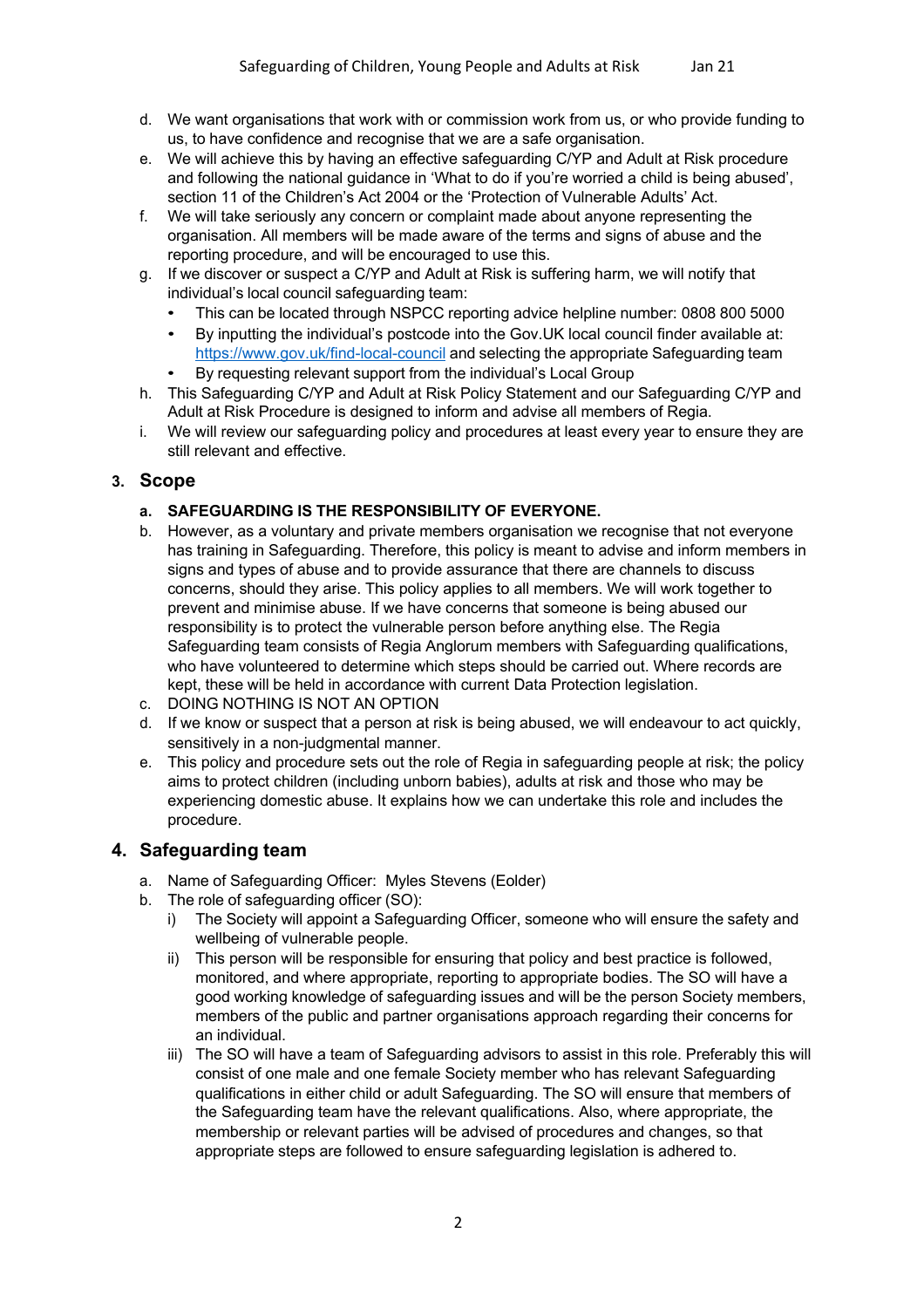- d. We want organisations that work with or commission work from us, or who provide funding to us, to have confidence and recognise that we are a safe organisation.
- e. We will achieve this by having an effective safeguarding C/YP and Adult at Risk procedure and following the national guidance in 'What to do if you're worried a child is being abused', section 11 of the Children's Act 2004 or the 'Protection of Vulnerable Adults' Act.
- f. We will take seriously any concern or complaint made about anyone representing the organisation. All members will be made aware of the terms and signs of abuse and the reporting procedure, and will be encouraged to use this.
- g. If we discover or suspect a C/YP and Adult at Risk is suffering harm, we will notify that individual's local council safeguarding team:
	- This can be located through NSPCC reporting advice helpline number: 0808 800 5000
	- By inputting the individual's postcode into the Gov.UK local council finder available at: https://www.gov.uk/find-local-council and selecting the appropriate Safeguarding team
	- By requesting relevant support from the individual's Local Group
- h. This Safeguarding C/YP and Adult at Risk Policy Statement and our Safeguarding C/YP and Adult at Risk Procedure is designed to inform and advise all members of Regia.
- i. We will review our safeguarding policy and procedures at least every year to ensure they are still relevant and effective.

# **3. Scope**

## **a. SAFEGUARDING IS THE RESPONSIBILITY OF EVERYONE.**

- b. However, as a voluntary and private members organisation we recognise that not everyone has training in Safeguarding. Therefore, this policy is meant to advise and inform members in signs and types of abuse and to provide assurance that there are channels to discuss concerns, should they arise. This policy applies to all members. We will work together to prevent and minimise abuse. If we have concerns that someone is being abused our responsibility is to protect the vulnerable person before anything else. The Regia Safeguarding team consists of Regia Anglorum members with Safeguarding qualifications, who have volunteered to determine which steps should be carried out. Where records are kept, these will be held in accordance with current Data Protection legislation.
- c. DOING NOTHING IS NOT AN OPTION
- d. If we know or suspect that a person at risk is being abused, we will endeavour to act quickly, sensitively in a non-judgmental manner.
- e. This policy and procedure sets out the role of Regia in safeguarding people at risk; the policy aims to protect children (including unborn babies), adults at risk and those who may be experiencing domestic abuse. It explains how we can undertake this role and includes the procedure.

# **4. Safeguarding team**

- a. Name of Safeguarding Officer: Myles Stevens (Eolder)
- b. The role of safeguarding officer (SO):
	- i) The Society will appoint a Safeguarding Officer, someone who will ensure the safety and wellbeing of vulnerable people.
	- ii) This person will be responsible for ensuring that policy and best practice is followed, monitored, and where appropriate, reporting to appropriate bodies. The SO will have a good working knowledge of safeguarding issues and will be the person Society members, members of the public and partner organisations approach regarding their concerns for an individual.
	- iii) The SO will have a team of Safeguarding advisors to assist in this role. Preferably this will consist of one male and one female Society member who has relevant Safeguarding qualifications in either child or adult Safeguarding. The SO will ensure that members of the Safeguarding team have the relevant qualifications. Also, where appropriate, the membership or relevant parties will be advised of procedures and changes, so that appropriate steps are followed to ensure safeguarding legislation is adhered to.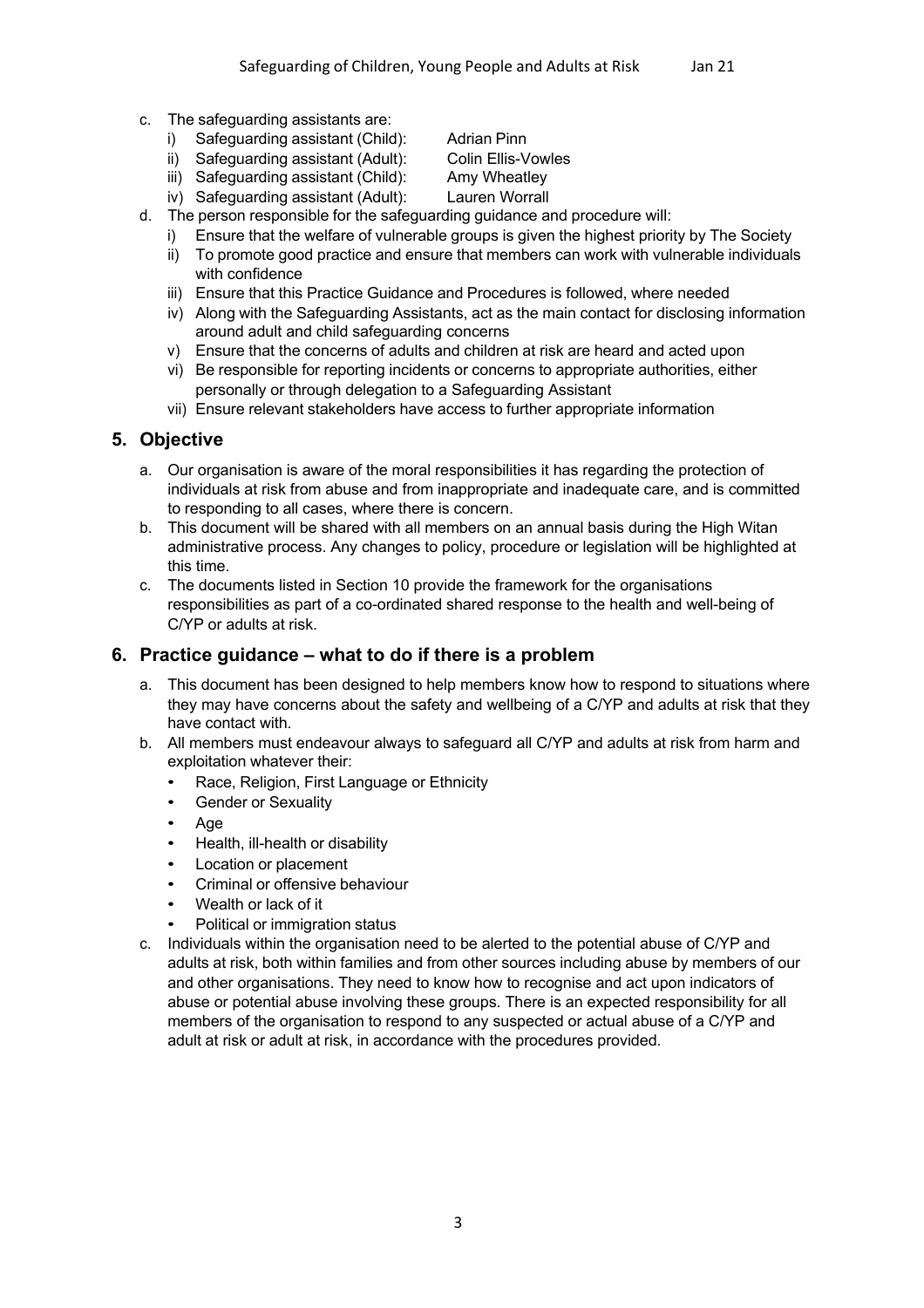- c. The safeguarding assistants are:
	- i) Safeguarding assistant (Child): Adrian Pinn
	- ii) Safeguarding assistant (Adult): Colin Ellis-Vowles

iii) Safeguarding assistant (Child): Amy Wheatley

- iv) Safeguarding assistant (Adult): Lauren Worrall
- d. The person responsible for the safeguarding guidance and procedure will:
	- i) Ensure that the welfare of vulnerable groups is given the highest priority by The Society
	- ii) To promote good practice and ensure that members can work with vulnerable individuals with confidence
	- iii) Ensure that this Practice Guidance and Procedures is followed, where needed
	- iv) Along with the Safeguarding Assistants, act as the main contact for disclosing information around adult and child safeguarding concerns
	- v) Ensure that the concerns of adults and children at risk are heard and acted upon
	- vi) Be responsible for reporting incidents or concerns to appropriate authorities, either personally or through delegation to a Safeguarding Assistant
	- vii) Ensure relevant stakeholders have access to further appropriate information

## **5. Objective**

- a. Our organisation is aware of the moral responsibilities it has regarding the protection of individuals at risk from abuse and from inappropriate and inadequate care, and is committed to responding to all cases, where there is concern.
- b. This document will be shared with all members on an annual basis during the High Witan administrative process. Any changes to policy, procedure or legislation will be highlighted at this time.
- c. The documents listed in Section 10 provide the framework for the organisations responsibilities as part of a co-ordinated shared response to the health and well-being of C/YP or adults at risk.

## **6. Practice guidance – what to do if there is a problem**

- a. This document has been designed to help members know how to respond to situations where they may have concerns about the safety and wellbeing of a C/YP and adults at risk that they have contact with.
- b. All members must endeavour always to safeguard all C/YP and adults at risk from harm and exploitation whatever their:
	- Race, Religion, First Language or Ethnicity
	- Gender or Sexuality
	- Age
	- Health, ill-health or disability
	- Location or placement
	- Criminal or offensive behaviour
	- Wealth or lack of it
	- Political or immigration status
- c. Individuals within the organisation need to be alerted to the potential abuse of C/YP and adults at risk, both within families and from other sources including abuse by members of our and other organisations. They need to know how to recognise and act upon indicators of abuse or potential abuse involving these groups. There is an expected responsibility for all members of the organisation to respond to any suspected or actual abuse of a C/YP and adult at risk or adult at risk, in accordance with the procedures provided.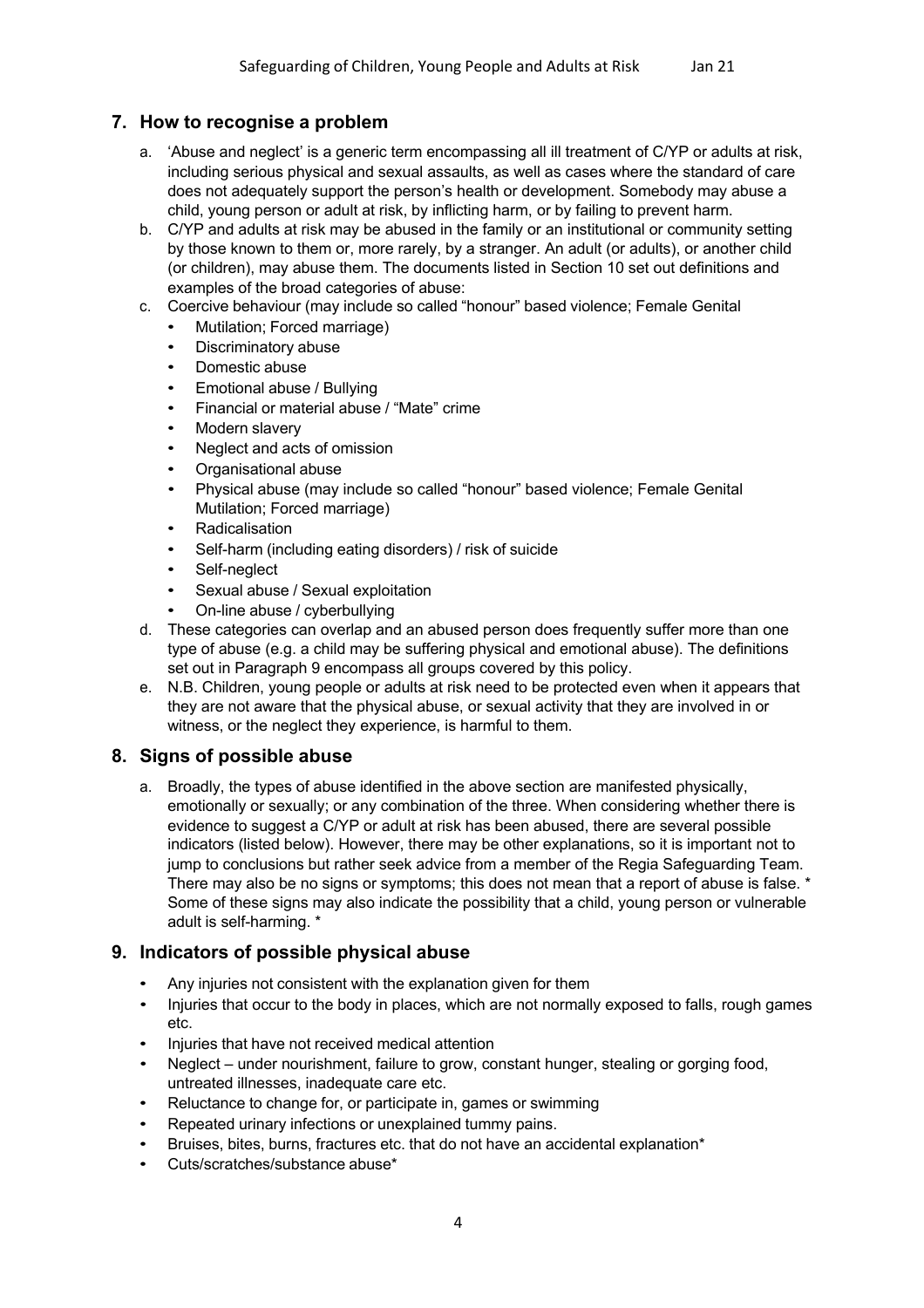# **7. How to recognise a problem**

- a. 'Abuse and neglect' is a generic term encompassing all ill treatment of C/YP or adults at risk, including serious physical and sexual assaults, as well as cases where the standard of care does not adequately support the person's health or development. Somebody may abuse a child, young person or adult at risk, by inflicting harm, or by failing to prevent harm.
- b. C/YP and adults at risk may be abused in the family or an institutional or community setting by those known to them or, more rarely, by a stranger. An adult (or adults), or another child (or children), may abuse them. The documents listed in Section 10 set out definitions and examples of the broad categories of abuse:
- c. Coercive behaviour (may include so called "honour" based violence; Female Genital
	- Mutilation; Forced marriage)
	- Discriminatory abuse
	- Domestic abuse
	- Emotional abuse / Bullying
	- Financial or material abuse / "Mate" crime
	- Modern slavery
	- Neglect and acts of omission
	- Organisational abuse
	- Physical abuse (may include so called "honour" based violence; Female Genital Mutilation; Forced marriage)
	- Radicalisation
	- Self-harm (including eating disorders) / risk of suicide
	- Self-neglect
	- Sexual abuse / Sexual exploitation
	- On-line abuse / cyberbullying
- d. These categories can overlap and an abused person does frequently suffer more than one type of abuse (e.g. a child may be suffering physical and emotional abuse). The definitions set out in Paragraph 9 encompass all groups covered by this policy.
- e. N.B. Children, young people or adults at risk need to be protected even when it appears that they are not aware that the physical abuse, or sexual activity that they are involved in or witness, or the neglect they experience, is harmful to them.

# **8. Signs of possible abuse**

a. Broadly, the types of abuse identified in the above section are manifested physically, emotionally or sexually; or any combination of the three. When considering whether there is evidence to suggest a C/YP or adult at risk has been abused, there are several possible indicators (listed below). However, there may be other explanations, so it is important not to jump to conclusions but rather seek advice from a member of the Regia Safeguarding Team. There may also be no signs or symptoms; this does not mean that a report of abuse is false. \* Some of these signs may also indicate the possibility that a child, young person or vulnerable adult is self-harming. \*

# **9. Indicators of possible physical abuse**

- Any injuries not consistent with the explanation given for them
- Injuries that occur to the body in places, which are not normally exposed to falls, rough games etc.
- Injuries that have not received medical attention
- Neglect under nourishment, failure to grow, constant hunger, stealing or gorging food, untreated illnesses, inadequate care etc.
- Reluctance to change for, or participate in, games or swimming
- Repeated urinary infections or unexplained tummy pains.
- Bruises, bites, burns, fractures etc. that do not have an accidental explanation\*
- Cuts/scratches/substance abuse\*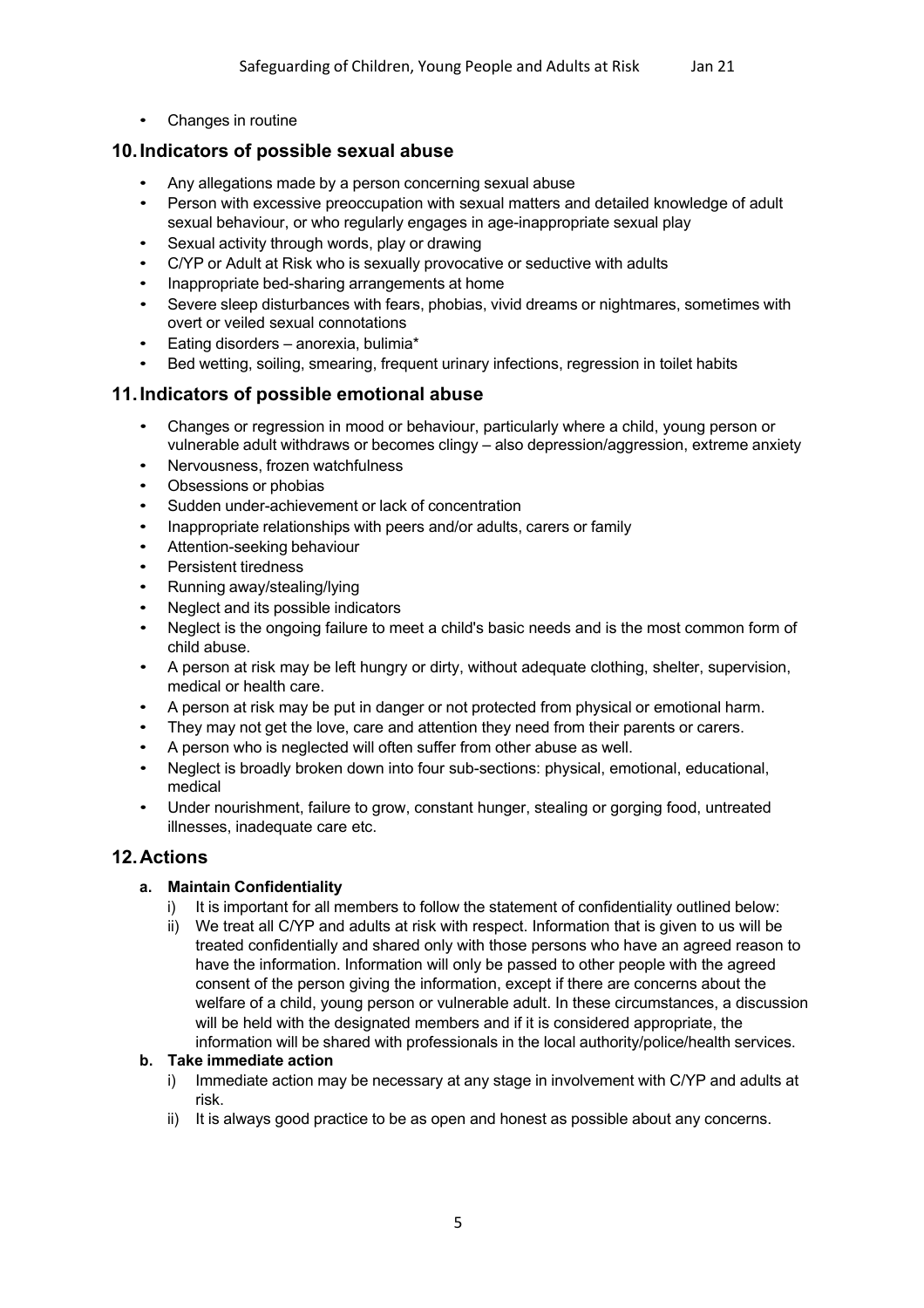• Changes in routine

# **10.Indicators of possible sexual abuse**

- Any allegations made by a person concerning sexual abuse
- Person with excessive preoccupation with sexual matters and detailed knowledge of adult sexual behaviour, or who regularly engages in age-inappropriate sexual play
- Sexual activity through words, play or drawing
- C/YP or Adult at Risk who is sexually provocative or seductive with adults
- Inappropriate bed-sharing arrangements at home
- Severe sleep disturbances with fears, phobias, vivid dreams or nightmares, sometimes with overt or veiled sexual connotations
- Eating disorders anorexia, bulimia\*
- Bed wetting, soiling, smearing, frequent urinary infections, regression in toilet habits

## **11.Indicators of possible emotional abuse**

- Changes or regression in mood or behaviour, particularly where a child, young person or vulnerable adult withdraws or becomes clingy – also depression/aggression, extreme anxiety
- Nervousness, frozen watchfulness
- Obsessions or phobias
- Sudden under-achievement or lack of concentration
- Inappropriate relationships with peers and/or adults, carers or family
- Attention-seeking behaviour
- Persistent tiredness
- Running away/stealing/lying
- Neglect and its possible indicators
- Neglect is the ongoing failure to meet a child's basic needs and is the most common form of child abuse.
- A person at risk may be left hungry or dirty, without adequate clothing, shelter, supervision, medical or health care.
- A person at risk may be put in danger or not protected from physical or emotional harm.
- They may not get the love, care and attention they need from their parents or carers.
- A person who is neglected will often suffer from other abuse as well.
- Neglect is broadly broken down into four sub-sections: physical, emotional, educational, medical
- Under nourishment, failure to grow, constant hunger, stealing or gorging food, untreated illnesses, inadequate care etc.

# **12.Actions**

#### **a. Maintain Confidentiality**

- i) It is important for all members to follow the statement of confidentiality outlined below:
- ii) We treat all C/YP and adults at risk with respect. Information that is given to us will be treated confidentially and shared only with those persons who have an agreed reason to have the information. Information will only be passed to other people with the agreed consent of the person giving the information, except if there are concerns about the welfare of a child, young person or vulnerable adult. In these circumstances, a discussion will be held with the designated members and if it is considered appropriate, the information will be shared with professionals in the local authority/police/health services.

#### **b. Take immediate action**

- i) Immediate action may be necessary at any stage in involvement with C/YP and adults at risk.
- ii) It is always good practice to be as open and honest as possible about any concerns.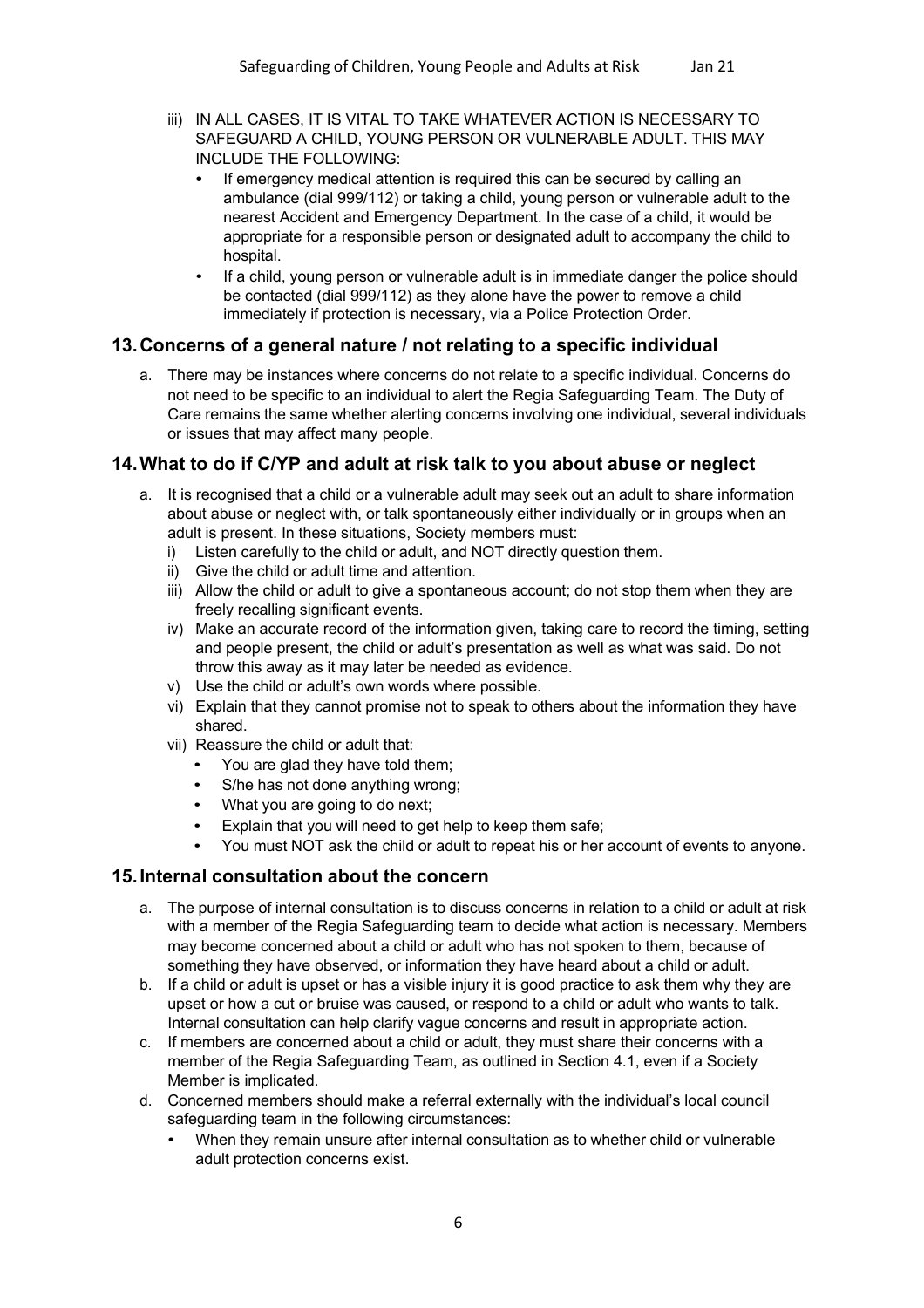- iii) IN ALL CASES, IT IS VITAL TO TAKE WHATEVER ACTION IS NECESSARY TO SAFEGUARD A CHILD, YOUNG PERSON OR VULNERABLE ADULT. THIS MAY INCLUDE THE FOLLOWING:
	- If emergency medical attention is required this can be secured by calling an ambulance (dial 999/112) or taking a child, young person or vulnerable adult to the nearest Accident and Emergency Department. In the case of a child, it would be appropriate for a responsible person or designated adult to accompany the child to hospital.
	- If a child, young person or vulnerable adult is in immediate danger the police should be contacted (dial 999/112) as they alone have the power to remove a child immediately if protection is necessary, via a Police Protection Order.

# **13.Concerns of a general nature / not relating to a specific individual**

a. There may be instances where concerns do not relate to a specific individual. Concerns do not need to be specific to an individual to alert the Regia Safeguarding Team. The Duty of Care remains the same whether alerting concerns involving one individual, several individuals or issues that may affect many people.

# **14.What to do if C/YP and adult at risk talk to you about abuse or neglect**

- a. It is recognised that a child or a vulnerable adult may seek out an adult to share information about abuse or neglect with, or talk spontaneously either individually or in groups when an adult is present. In these situations, Society members must:
	- i) Listen carefully to the child or adult, and NOT directly question them.
	- ii) Give the child or adult time and attention.
	- iii) Allow the child or adult to give a spontaneous account; do not stop them when they are freely recalling significant events.
	- iv) Make an accurate record of the information given, taking care to record the timing, setting and people present, the child or adult's presentation as well as what was said. Do not throw this away as it may later be needed as evidence.
	- v) Use the child or adult's own words where possible.
	- vi) Explain that they cannot promise not to speak to others about the information they have shared.
	- vii) Reassure the child or adult that:
		- You are glad they have told them;
		- S/he has not done anything wrong;
		- What you are going to do next;
		- Explain that you will need to get help to keep them safe;
		- You must NOT ask the child or adult to repeat his or her account of events to anyone.

# **15.Internal consultation about the concern**

- a. The purpose of internal consultation is to discuss concerns in relation to a child or adult at risk with a member of the Regia Safeguarding team to decide what action is necessary. Members may become concerned about a child or adult who has not spoken to them, because of something they have observed, or information they have heard about a child or adult.
- b. If a child or adult is upset or has a visible injury it is good practice to ask them why they are upset or how a cut or bruise was caused, or respond to a child or adult who wants to talk. Internal consultation can help clarify vague concerns and result in appropriate action.
- c. If members are concerned about a child or adult, they must share their concerns with a member of the Regia Safeguarding Team, as outlined in Section 4.1, even if a Society Member is implicated.
- d. Concerned members should make a referral externally with the individual's local council safeguarding team in the following circumstances:
	- When they remain unsure after internal consultation as to whether child or vulnerable adult protection concerns exist.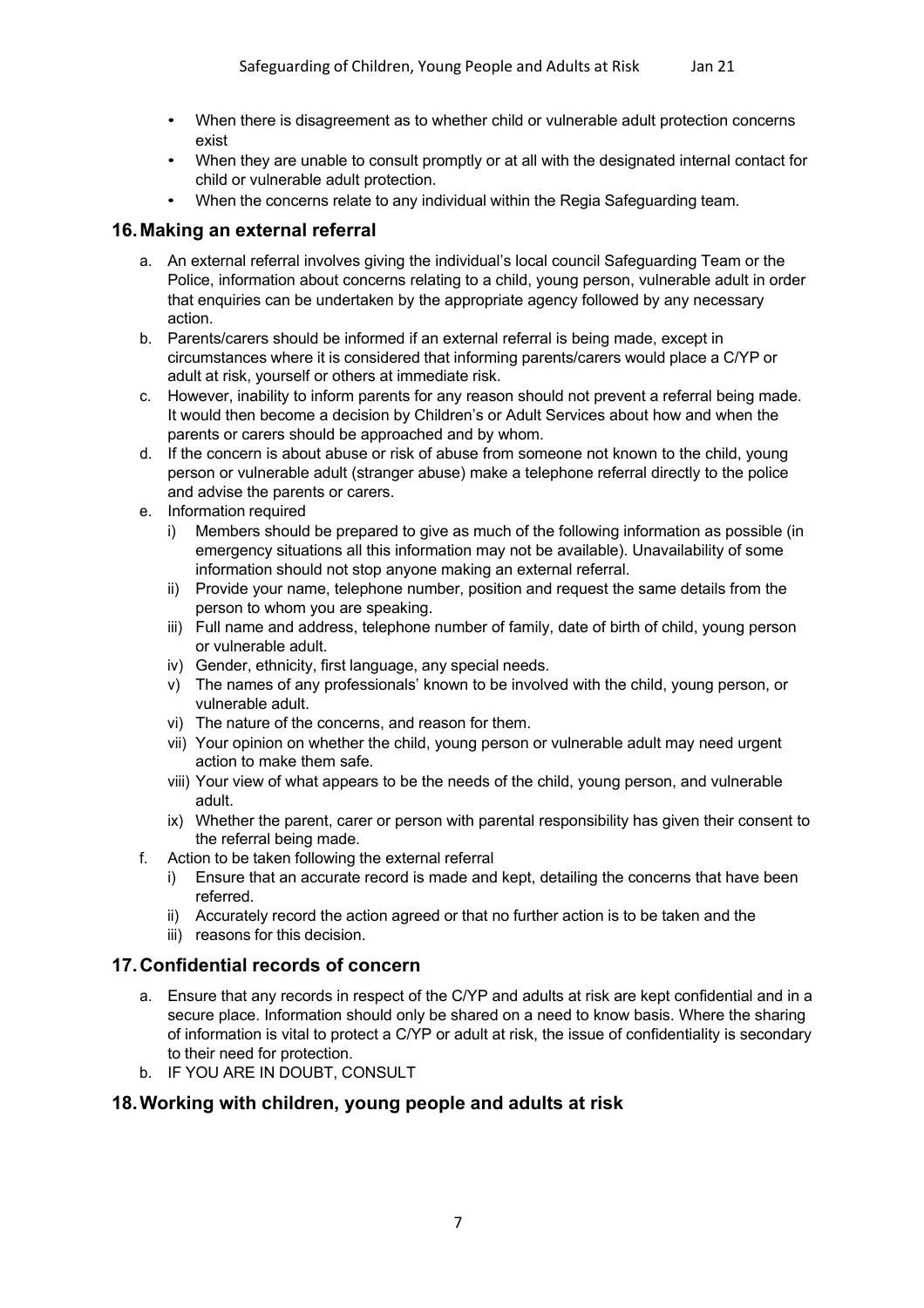- When there is disagreement as to whether child or vulnerable adult protection concerns exist
- When they are unable to consult promptly or at all with the designated internal contact for child or vulnerable adult protection.
- When the concerns relate to any individual within the Regia Safeguarding team.

# **16.Making an external referral**

- a. An external referral involves giving the individual's local council Safeguarding Team or the Police, information about concerns relating to a child, young person, vulnerable adult in order that enquiries can be undertaken by the appropriate agency followed by any necessary action.
- b. Parents/carers should be informed if an external referral is being made, except in circumstances where it is considered that informing parents/carers would place a C/YP or adult at risk, yourself or others at immediate risk.
- c. However, inability to inform parents for any reason should not prevent a referral being made. It would then become a decision by Children's or Adult Services about how and when the parents or carers should be approached and by whom.
- d. If the concern is about abuse or risk of abuse from someone not known to the child, young person or vulnerable adult (stranger abuse) make a telephone referral directly to the police and advise the parents or carers.
- e. Information required
	- i) Members should be prepared to give as much of the following information as possible (in emergency situations all this information may not be available). Unavailability of some information should not stop anyone making an external referral.
	- ii) Provide your name, telephone number, position and request the same details from the person to whom you are speaking.
	- iii) Full name and address, telephone number of family, date of birth of child, young person or vulnerable adult.
	- iv) Gender, ethnicity, first language, any special needs.
	- v) The names of any professionals' known to be involved with the child, young person, or vulnerable adult.
	- vi) The nature of the concerns, and reason for them.
	- vii) Your opinion on whether the child, young person or vulnerable adult may need urgent action to make them safe.
	- viii) Your view of what appears to be the needs of the child, young person, and vulnerable adult.
	- ix) Whether the parent, carer or person with parental responsibility has given their consent to the referral being made.
- f. Action to be taken following the external referral
	- i) Ensure that an accurate record is made and kept, detailing the concerns that have been referred.
	- ii) Accurately record the action agreed or that no further action is to be taken and the
	- iii) reasons for this decision.

# **17.Confidential records of concern**

- a. Ensure that any records in respect of the C/YP and adults at risk are kept confidential and in a secure place. Information should only be shared on a need to know basis. Where the sharing of information is vital to protect a C/YP or adult at risk, the issue of confidentiality is secondary to their need for protection.
- b. IF YOU ARE IN DOUBT, CONSULT

# **18.Working with children, young people and adults at risk**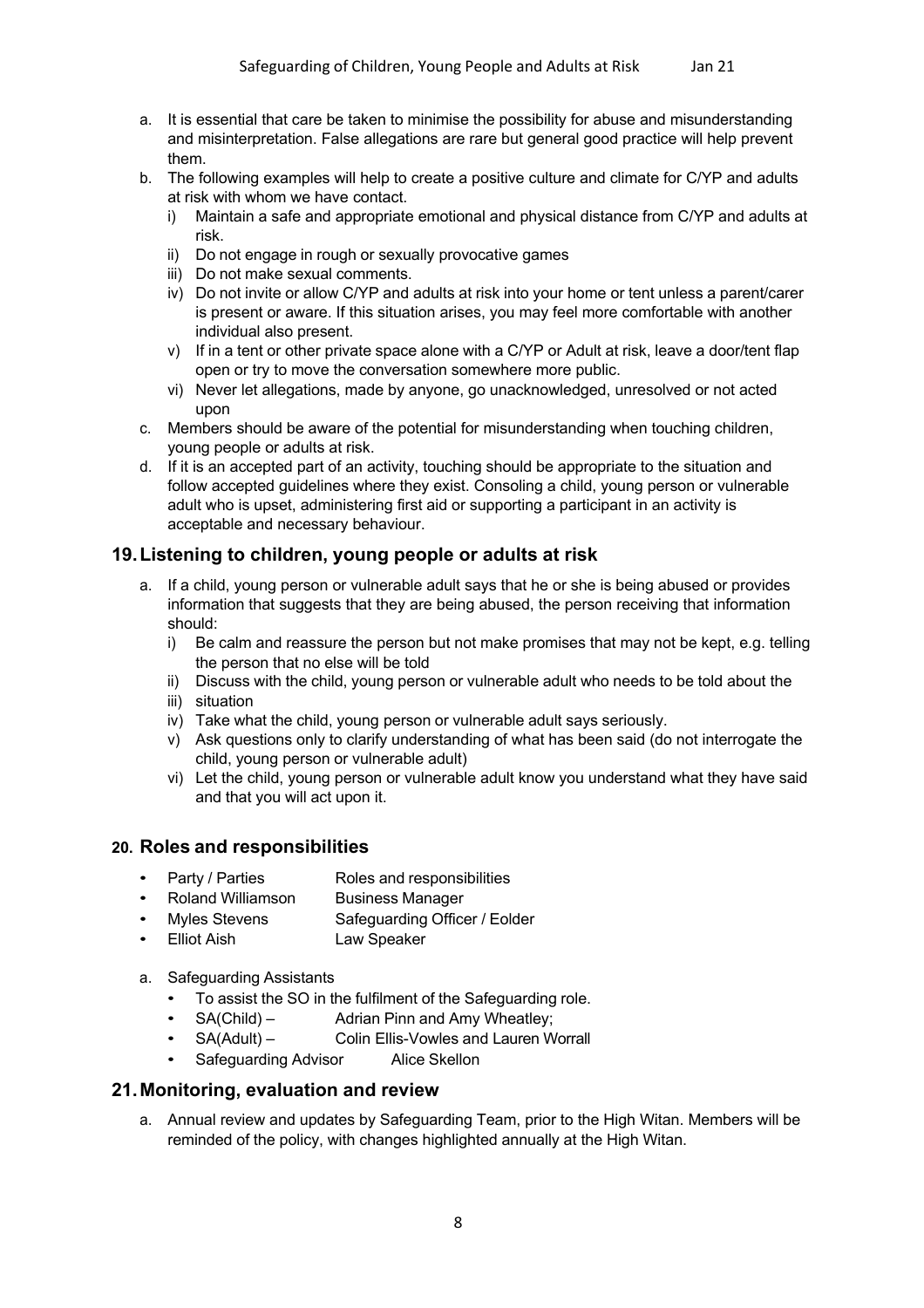- a. It is essential that care be taken to minimise the possibility for abuse and misunderstanding and misinterpretation. False allegations are rare but general good practice will help prevent them.
- b. The following examples will help to create a positive culture and climate for C/YP and adults at risk with whom we have contact.
	- i) Maintain a safe and appropriate emotional and physical distance from C/YP and adults at risk.
	- ii) Do not engage in rough or sexually provocative games
	- iii) Do not make sexual comments.
	- iv) Do not invite or allow C/YP and adults at risk into your home or tent unless a parent/carer is present or aware. If this situation arises, you may feel more comfortable with another individual also present.
	- v) If in a tent or other private space alone with a C/YP or Adult at risk, leave a door/tent flap open or try to move the conversation somewhere more public.
	- vi) Never let allegations, made by anyone, go unacknowledged, unresolved or not acted upon
- c. Members should be aware of the potential for misunderstanding when touching children, young people or adults at risk.
- d. If it is an accepted part of an activity, touching should be appropriate to the situation and follow accepted guidelines where they exist. Consoling a child, young person or vulnerable adult who is upset, administering first aid or supporting a participant in an activity is acceptable and necessary behaviour.

# **19.Listening to children, young people or adults at risk**

- a. If a child, young person or vulnerable adult says that he or she is being abused or provides information that suggests that they are being abused, the person receiving that information should:
	- i) Be calm and reassure the person but not make promises that may not be kept, e.g. telling the person that no else will be told
	- ii) Discuss with the child, young person or vulnerable adult who needs to be told about the
	- iii) situation
	- iv) Take what the child, young person or vulnerable adult says seriously.
	- v) Ask questions only to clarify understanding of what has been said (do not interrogate the child, young person or vulnerable adult)
	- vi) Let the child, young person or vulnerable adult know you understand what they have said and that you will act upon it.

## **20. Roles and responsibilities**

- Party / Parties Roles and responsibilities
- Roland Williamson Business Manager
- Myles Stevens Safeguarding Officer / Eolder
- Elliot Aish Law Speaker
- a. Safeguarding Assistants
	- To assist the SO in the fulfilment of the Safeguarding role.
	- SA(Child) Adrian Pinn and Amy Wheatley;
	- SA(Adult) Colin Ellis-Vowles and Lauren Worrall
	- Safeguarding Advisor Alice Skellon

## **21.Monitoring, evaluation and review**

a. Annual review and updates by Safeguarding Team, prior to the High Witan. Members will be reminded of the policy, with changes highlighted annually at the High Witan.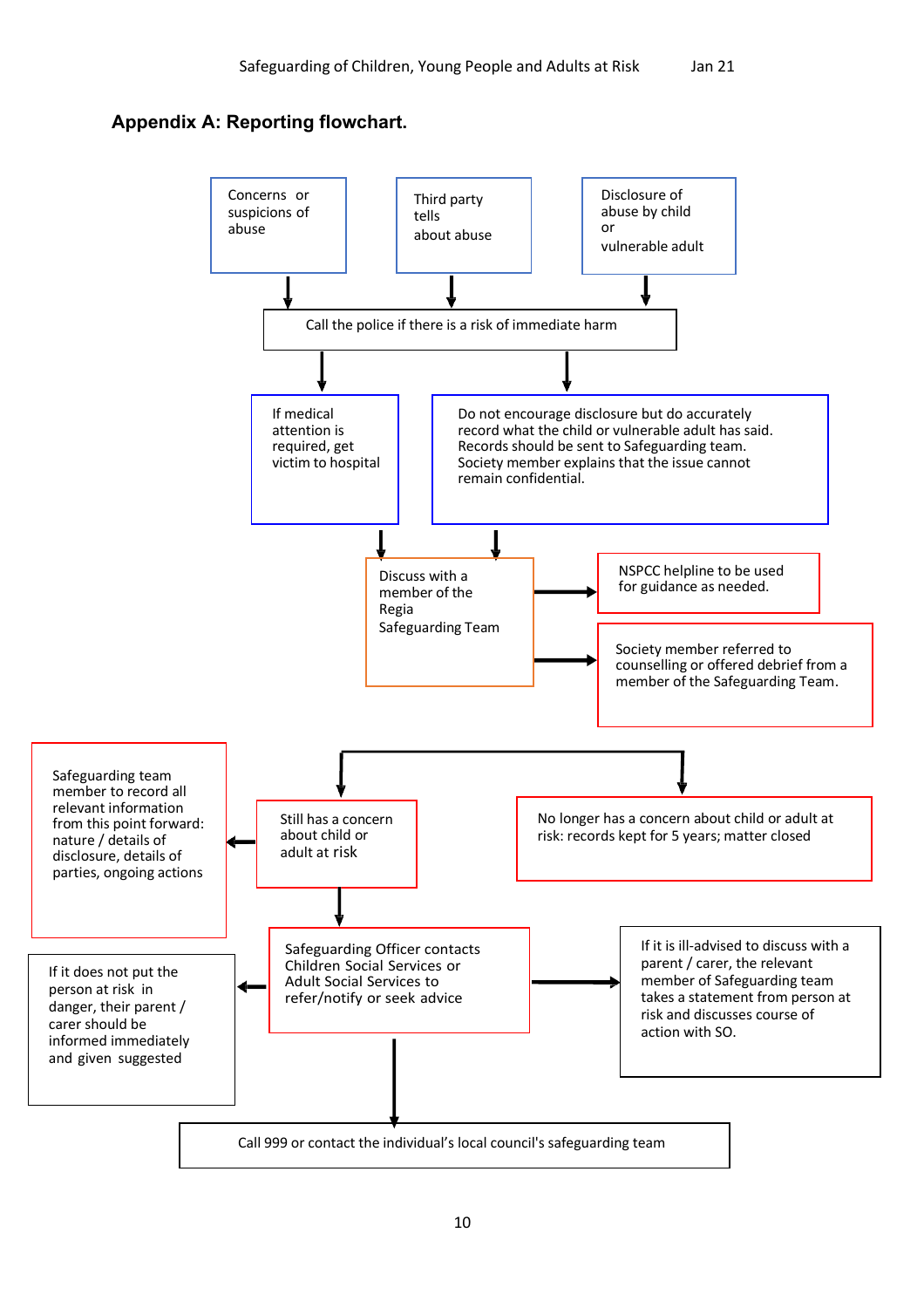# **Appendix A: Reporting flowchart.**

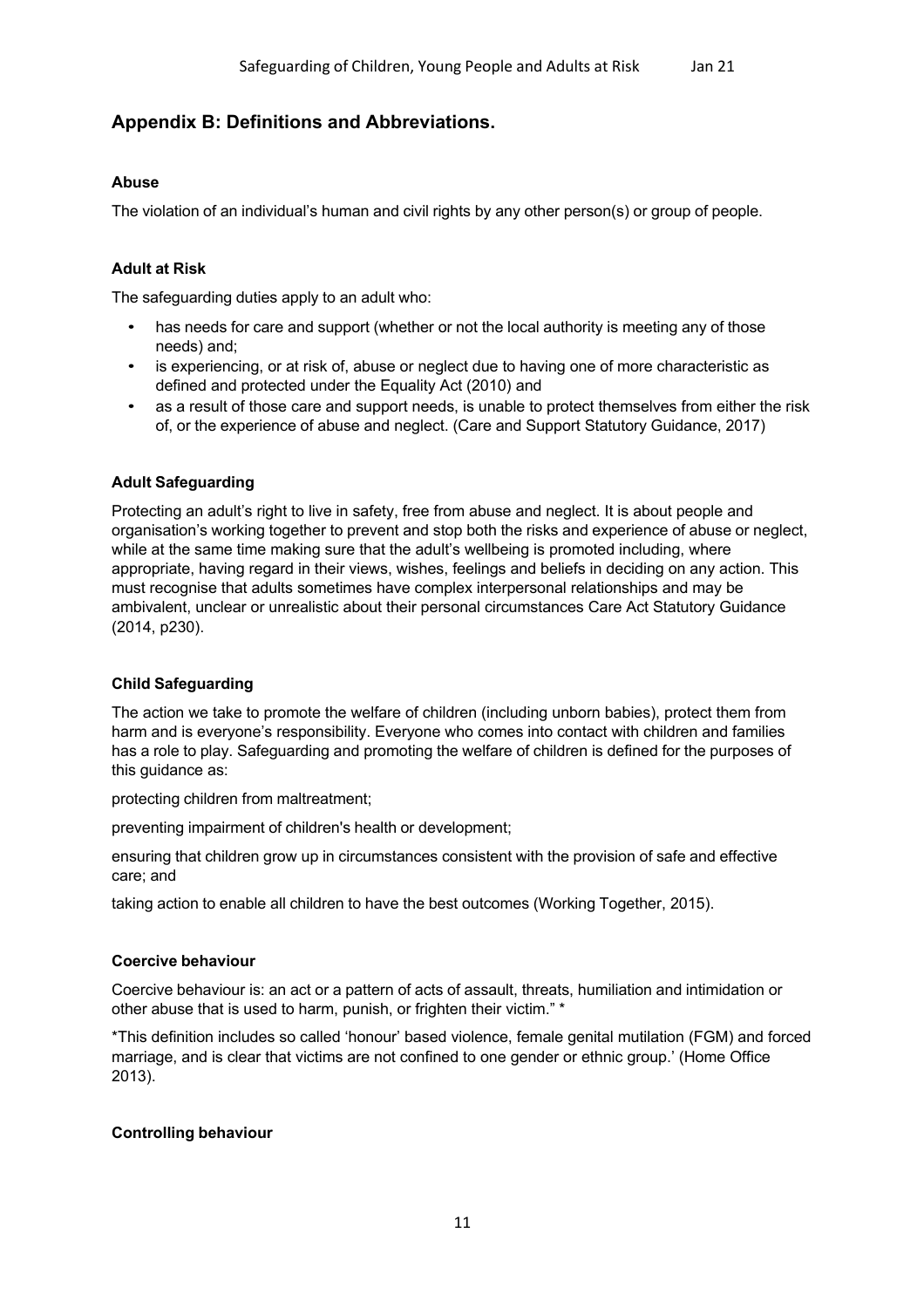# **Appendix B: Definitions and Abbreviations.**

## **Abuse**

The violation of an individual's human and civil rights by any other person(s) or group of people.

## **Adult at Risk**

The safeguarding duties apply to an adult who:

- has needs for care and support (whether or not the local authority is meeting any of those needs) and;
- is experiencing, or at risk of, abuse or neglect due to having one of more characteristic as defined and protected under the Equality Act (2010) and
- as a result of those care and support needs, is unable to protect themselves from either the risk of, or the experience of abuse and neglect. (Care and Support Statutory Guidance, 2017)

#### **Adult Safeguarding**

Protecting an adult's right to live in safety, free from abuse and neglect. It is about people and organisation's working together to prevent and stop both the risks and experience of abuse or neglect, while at the same time making sure that the adult's wellbeing is promoted including, where appropriate, having regard in their views, wishes, feelings and beliefs in deciding on any action. This must recognise that adults sometimes have complex interpersonal relationships and may be ambivalent, unclear or unrealistic about their personal circumstances Care Act Statutory Guidance (2014, p230).

#### **Child Safeguarding**

The action we take to promote the welfare of children (including unborn babies), protect them from harm and is everyone's responsibility. Everyone who comes into contact with children and families has a role to play. Safeguarding and promoting the welfare of children is defined for the purposes of this guidance as:

protecting children from maltreatment;

preventing impairment of children's health or development;

ensuring that children grow up in circumstances consistent with the provision of safe and effective care; and

taking action to enable all children to have the best outcomes (Working Together, 2015).

#### **Coercive behaviour**

Coercive behaviour is: an act or a pattern of acts of assault, threats, humiliation and intimidation or other abuse that is used to harm, punish, or frighten their victim." \*

\*This definition includes so called 'honour' based violence, female genital mutilation (FGM) and forced marriage, and is clear that victims are not confined to one gender or ethnic group.' (Home Office 2013).

#### **Controlling behaviour**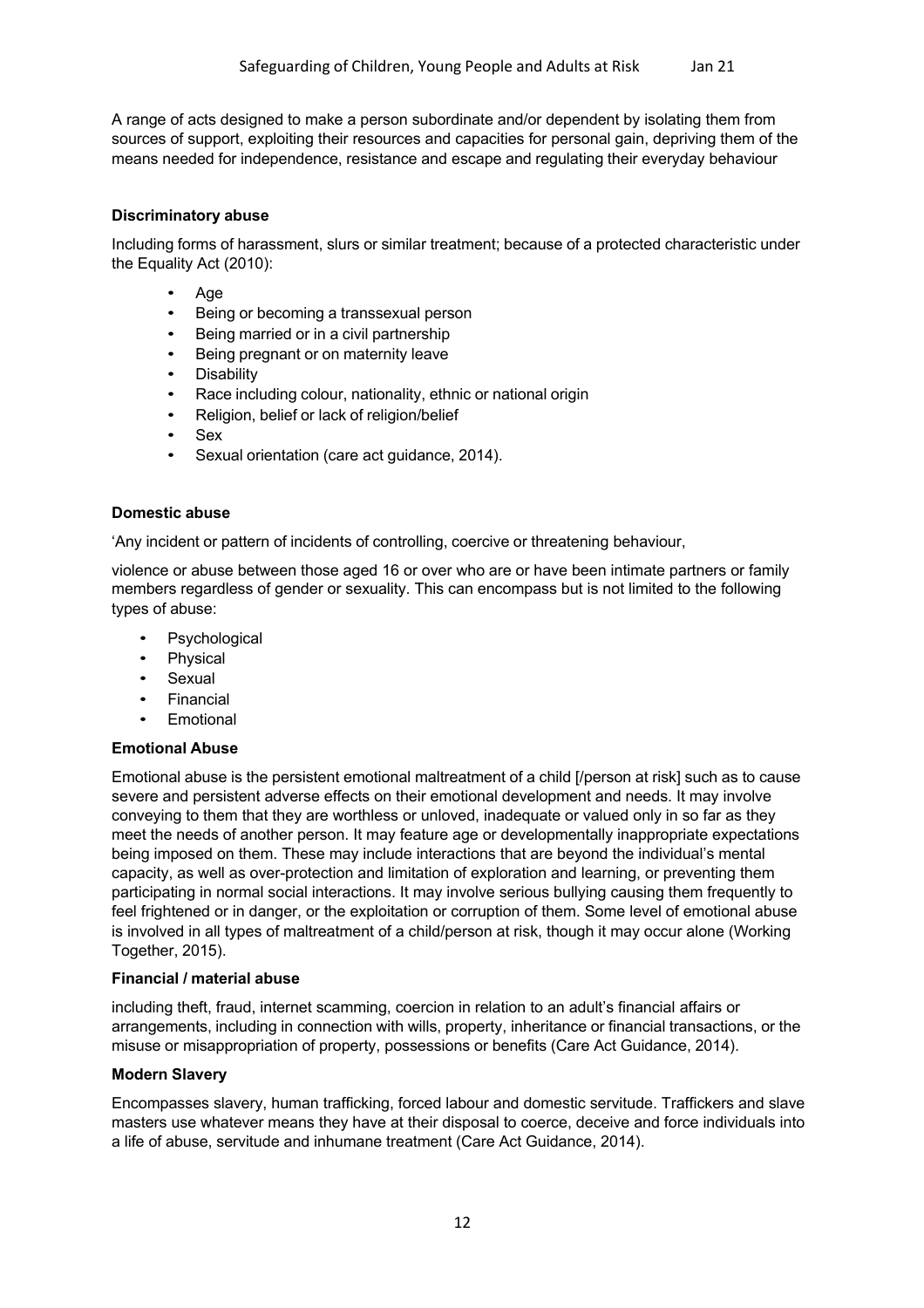A range of acts designed to make a person subordinate and/or dependent by isolating them from sources of support, exploiting their resources and capacities for personal gain, depriving them of the means needed for independence, resistance and escape and regulating their everyday behaviour

#### **Discriminatory abuse**

Including forms of harassment, slurs or similar treatment; because of a protected characteristic under the Equality Act (2010):

- Age
- Being or becoming a transsexual person
- Being married or in a civil partnership
- Being pregnant or on maternity leave
- **Disability**
- Race including colour, nationality, ethnic or national origin
- Religion, belief or lack of religion/belief
- Sex
- Sexual orientation (care act guidance, 2014).

#### **Domestic abuse**

'Any incident or pattern of incidents of controlling, coercive or threatening behaviour,

violence or abuse between those aged 16 or over who are or have been intimate partners or family members regardless of gender or sexuality. This can encompass but is not limited to the following types of abuse:

- **Psychological**
- Physical
- **Sexual**
- **Financial**
- **Emotional**

#### **Emotional Abuse**

Emotional abuse is the persistent emotional maltreatment of a child [/person at risk] such as to cause severe and persistent adverse effects on their emotional development and needs. It may involve conveying to them that they are worthless or unloved, inadequate or valued only in so far as they meet the needs of another person. It may feature age or developmentally inappropriate expectations being imposed on them. These may include interactions that are beyond the individual's mental capacity, as well as over-protection and limitation of exploration and learning, or preventing them participating in normal social interactions. It may involve serious bullying causing them frequently to feel frightened or in danger, or the exploitation or corruption of them. Some level of emotional abuse is involved in all types of maltreatment of a child/person at risk, though it may occur alone (Working Together, 2015).

#### **Financial / material abuse**

including theft, fraud, internet scamming, coercion in relation to an adult's financial affairs or arrangements, including in connection with wills, property, inheritance or financial transactions, or the misuse or misappropriation of property, possessions or benefits (Care Act Guidance, 2014).

#### **Modern Slavery**

Encompasses slavery, human trafficking, forced labour and domestic servitude. Traffickers and slave masters use whatever means they have at their disposal to coerce, deceive and force individuals into a life of abuse, servitude and inhumane treatment (Care Act Guidance, 2014).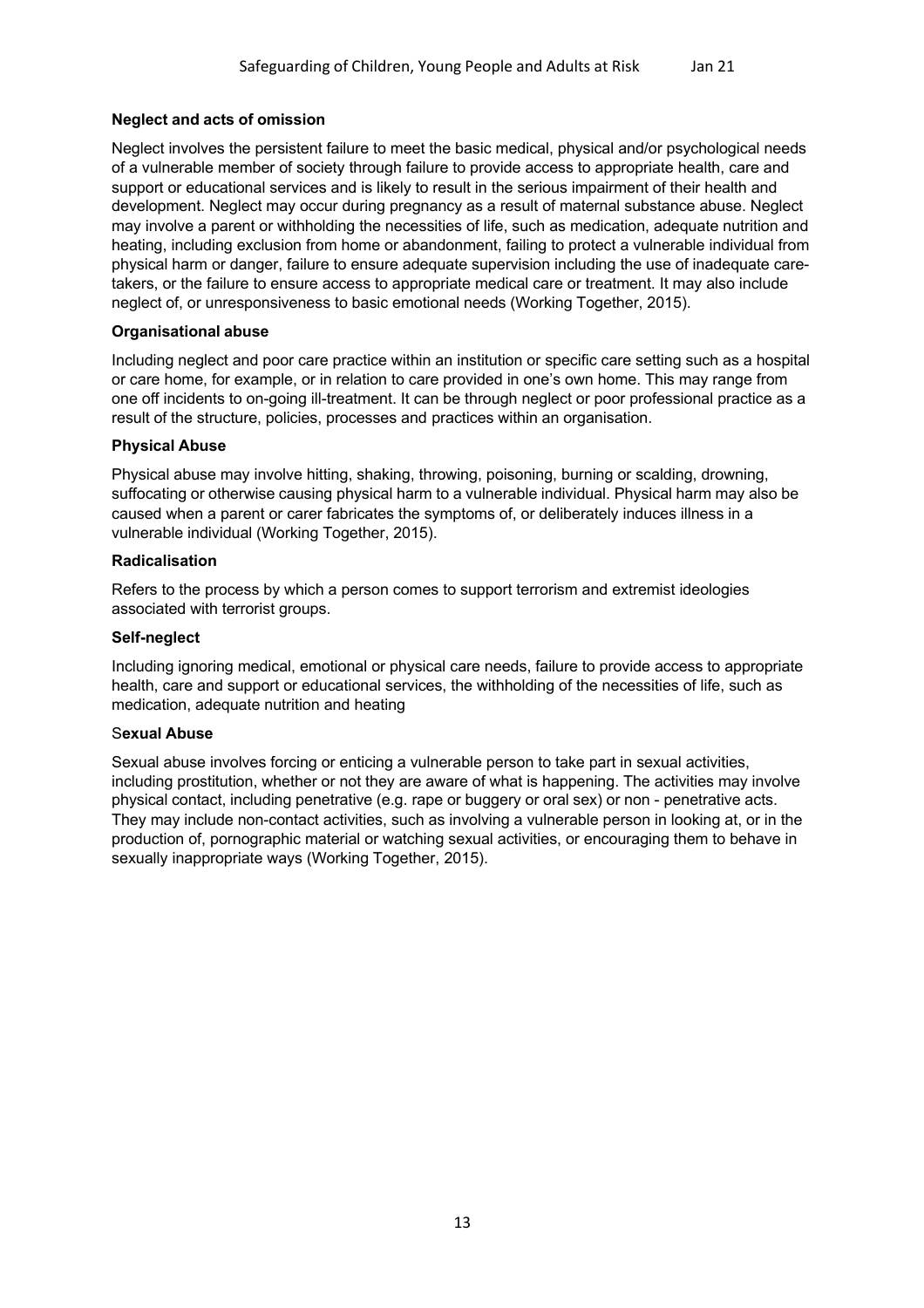## **Neglect and acts of omission**

Neglect involves the persistent failure to meet the basic medical, physical and/or psychological needs of a vulnerable member of society through failure to provide access to appropriate health, care and support or educational services and is likely to result in the serious impairment of their health and development. Neglect may occur during pregnancy as a result of maternal substance abuse. Neglect may involve a parent or withholding the necessities of life, such as medication, adequate nutrition and heating, including exclusion from home or abandonment, failing to protect a vulnerable individual from physical harm or danger, failure to ensure adequate supervision including the use of inadequate caretakers, or the failure to ensure access to appropriate medical care or treatment. It may also include neglect of, or unresponsiveness to basic emotional needs (Working Together, 2015).

#### **Organisational abuse**

Including neglect and poor care practice within an institution or specific care setting such as a hospital or care home, for example, or in relation to care provided in one's own home. This may range from one off incidents to on-going ill-treatment. It can be through neglect or poor professional practice as a result of the structure, policies, processes and practices within an organisation.

#### **Physical Abuse**

Physical abuse may involve hitting, shaking, throwing, poisoning, burning or scalding, drowning, suffocating or otherwise causing physical harm to a vulnerable individual. Physical harm may also be caused when a parent or carer fabricates the symptoms of, or deliberately induces illness in a vulnerable individual (Working Together, 2015).

#### **Radicalisation**

Refers to the process by which a person comes to support terrorism and extremist ideologies associated with terrorist groups.

#### **Self-neglect**

Including ignoring medical, emotional or physical care needs, failure to provide access to appropriate health, care and support or educational services, the withholding of the necessities of life, such as medication, adequate nutrition and heating

#### S**exual Abuse**

Sexual abuse involves forcing or enticing a vulnerable person to take part in sexual activities, including prostitution, whether or not they are aware of what is happening. The activities may involve physical contact, including penetrative (e.g. rape or buggery or oral sex) or non - penetrative acts. They may include non-contact activities, such as involving a vulnerable person in looking at, or in the production of, pornographic material or watching sexual activities, or encouraging them to behave in sexually inappropriate ways (Working Together, 2015).